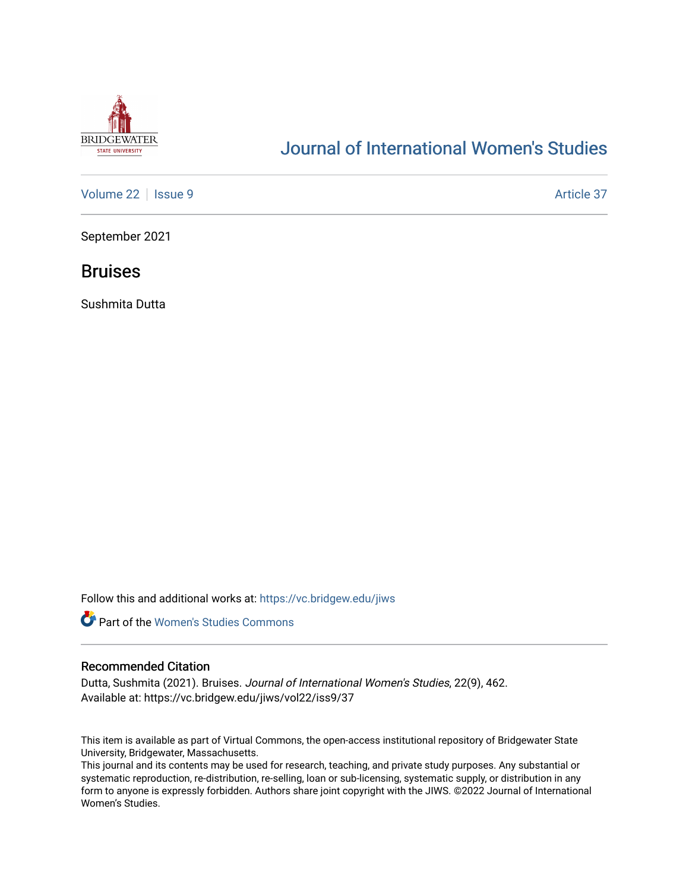

# [Journal of International Women's Studies](https://vc.bridgew.edu/jiws)

[Volume 22](https://vc.bridgew.edu/jiws/vol22) | [Issue 9](https://vc.bridgew.edu/jiws/vol22/iss9) Article 37

September 2021

**Bruises** 

Sushmita Dutta

Follow this and additional works at: [https://vc.bridgew.edu/jiws](https://vc.bridgew.edu/jiws?utm_source=vc.bridgew.edu%2Fjiws%2Fvol22%2Fiss9%2F37&utm_medium=PDF&utm_campaign=PDFCoverPages)



### Recommended Citation

Dutta, Sushmita (2021). Bruises. Journal of International Women's Studies, 22(9), 462. Available at: https://vc.bridgew.edu/jiws/vol22/iss9/37

This item is available as part of Virtual Commons, the open-access institutional repository of Bridgewater State University, Bridgewater, Massachusetts.

This journal and its contents may be used for research, teaching, and private study purposes. Any substantial or systematic reproduction, re-distribution, re-selling, loan or sub-licensing, systematic supply, or distribution in any form to anyone is expressly forbidden. Authors share joint copyright with the JIWS. ©2022 Journal of International Women's Studies.